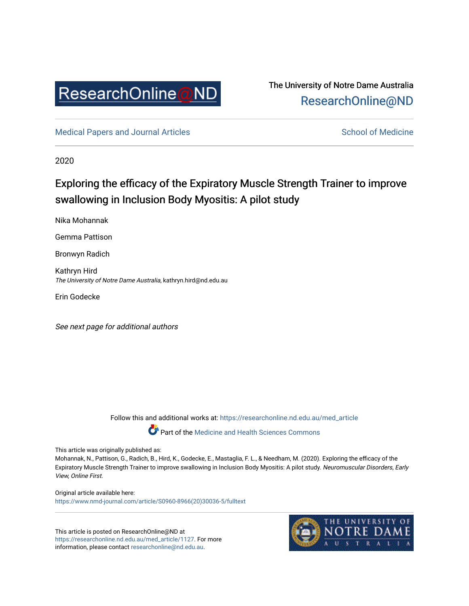

# The University of Notre Dame Australia [ResearchOnline@ND](https://researchonline.nd.edu.au/)

[Medical Papers and Journal Articles](https://researchonline.nd.edu.au/med_article) and School of Medicine

2020

# Exploring the efficacy of the Expiratory Muscle Strength Trainer to improve swallowing in Inclusion Body Myositis: A pilot study

Nika Mohannak

Gemma Pattison

Bronwyn Radich

Kathryn Hird The University of Notre Dame Australia, kathryn.hird@nd.edu.au

Erin Godecke

See next page for additional authors

Follow this and additional works at: [https://researchonline.nd.edu.au/med\\_article](https://researchonline.nd.edu.au/med_article?utm_source=researchonline.nd.edu.au%2Fmed_article%2F1127&utm_medium=PDF&utm_campaign=PDFCoverPages) 

Part of the [Medicine and Health Sciences Commons](http://network.bepress.com/hgg/discipline/648?utm_source=researchonline.nd.edu.au%2Fmed_article%2F1127&utm_medium=PDF&utm_campaign=PDFCoverPages)

This article was originally published as:

Mohannak, N., Pattison, G., Radich, B., Hird, K., Godecke, E., Mastaglia, F. L., & Needham, M. (2020). Exploring the efficacy of the Expiratory Muscle Strength Trainer to improve swallowing in Inclusion Body Myositis: A pilot study. Neuromuscular Disorders, Early View, Online First.

Original article available here: [https://www.nmd-journal.com/article/S0960-8966\(20\)30036-5/fulltext](https://www.nmd-journal.com/article/S0960-8966(20)30036-5/fulltext) 

This article is posted on ResearchOnline@ND at [https://researchonline.nd.edu.au/med\\_article/1127.](https://researchonline.nd.edu.au/med_article/1127) For more information, please contact [researchonline@nd.edu.au.](mailto:researchonline@nd.edu.au)

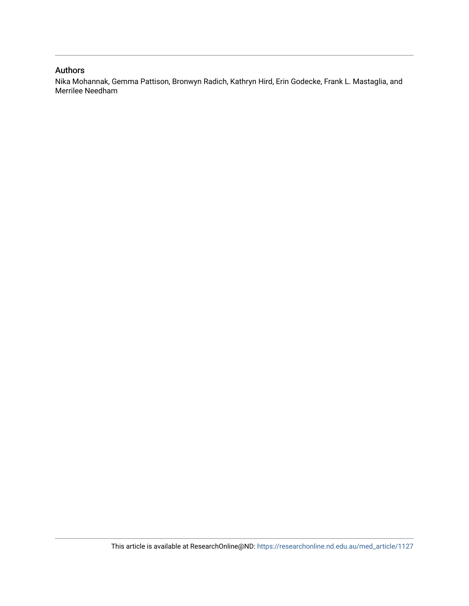#### Authors

Nika Mohannak, Gemma Pattison, Bronwyn Radich, Kathryn Hird, Erin Godecke, Frank L. Mastaglia, and Merrilee Needham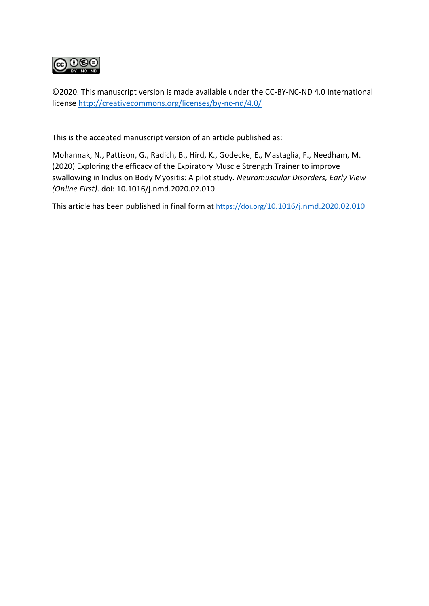

©2020. This manuscript version is made available under the CC-BY-NC-ND 4.0 International license http://creativecommons.org/licenses/by-nc-nd/4.0/

This is the accepted manuscript version of an article published as:

Mohannak, N., Pattison, G., Radich, B., Hird, K., Godecke, E., Mastaglia, F., Needham, M. (2020) Exploring the efficacy of the Expiratory Muscle Strength Trainer to improve swallowing in Inclusion Body Myositis: A pilot study*. Neuromuscular Disorders, Early View (Online First)*. doi: 10.1016/j.nmd.2020.02.010

This article has been published in final form at https://doi.org/10.1016/j.nmd.2020.02.010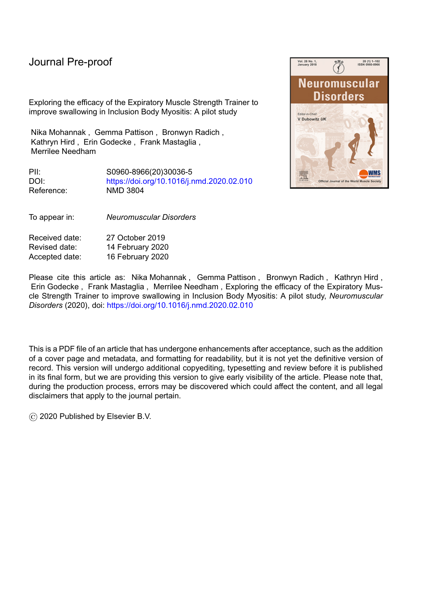Exploring the efficacy of the Expiratory Muscle Strength Trainer to improve swallowing in Inclusion Body Myositis: A pilot study

Nika Mohannak , Gemma Pattison , Bronwyn Radich , Kathryn Hird , Erin Godecke , Frank Mastaglia , Merrilee Needham

PII: S0960-8966(20)30036-5<br>DOI: https://doi.org/10.1016/i.r https://doi.org/10.1016/j.nmd.2020.02.010 Reference: NMD 3804



To appear in: *Neuromuscular Disorders*

Received date: 27 October 2019 Revised date: 14 February 2020 Accepted date: 16 February 2020

Please cite this article as: Nika Mohannak, Gemma Pattison, Bronwyn Radich, Kathryn Hird, Erin Godecke , Frank Mastaglia , Merrilee Needham , Exploring the efficacy of the Expiratory Muscle Strength Trainer to improve swallowing in Inclusion Body Myositis: A pilot study, *Neuromuscular Disorders* (2020), doi: https://doi.org/10.1016/j.nmd.2020.02.010

This is a PDF file of an article that has undergone enhancements after acceptance, such as the addition of a cover page and metadata, and formatting for readability, but it is not yet the definitive version of record. This version will undergo additional copyediting, typesetting and review before it is published in its final form, but we are providing this version to give early visibility of the article. Please note that, during the production process, errors may be discovered which could affect the content, and all legal disclaimers that apply to the journal pertain.

© 2020 Published by Elsevier B.V.

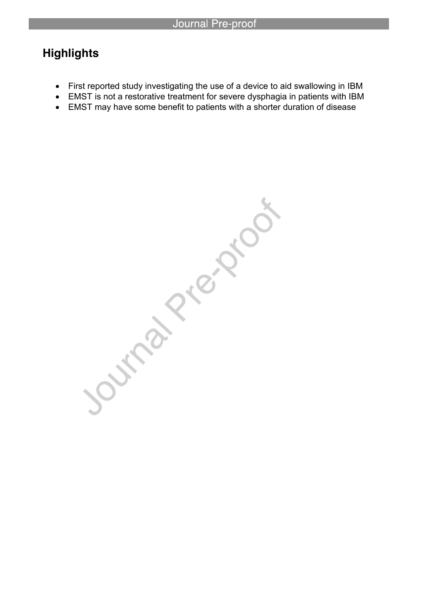# **Highlights**

- First reported study investigating the use of a device to aid swallowing in IBM
- EMST is not a restorative treatment for severe dysphagia in patients with IBM
- EMST may have some benefit to patients with a shorter duration of disease

Journal Pie Nicols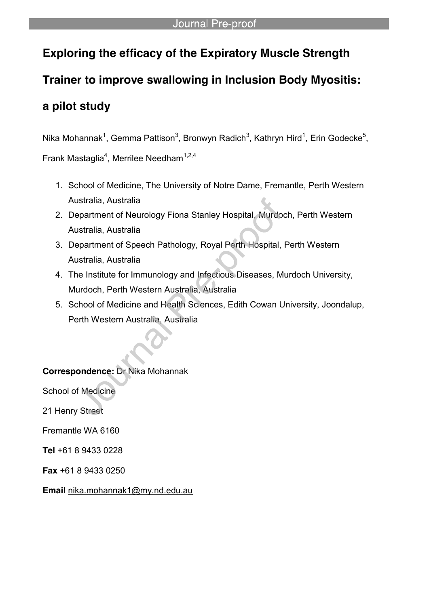# **Exploring the efficacy of the Expiratory Muscle Strength**

# **Trainer to improve swallowing in Inclusion Body Myositis:**

# **a pilot study**

Nika Mohannak<sup>1</sup>, Gemma Pattison<sup>3</sup>, Bronwyn Radich<sup>3</sup>, Kathryn Hird<sup>1</sup>, Erin Godecke<sup>5</sup>,

Frank Mastaglia<sup>4</sup>, Merrilee Needham<sup>1,2,4</sup>

- 1. School of Medicine, The University of Notre Dame, Fremantle, Perth Western Australia, Australia
- 2. Department of Neurology Fiona Stanley Hospital, Murdoch, Perth Western Australia, Australia
- 3. Department of Speech Pathology, Royal Perth Hospital, Perth Western Australia, Australia
- 4. The Institute for Immunology and Infectious Diseases, Murdoch University, Murdoch, Perth Western Australia, Australia
- 5. School of Medicine and Health Sciences, Edith Cowan University, Joondalup, Perth Western Australia, Australia

**Correspondence:** Dr Nika Mohannak

School of Medicine

21 Henry Street

Fremantle WA 6160

**Tel** +61 8 9433 0228

**Fax** +61 8 9433 0250

**Email** nika.mohannak1@my.nd.edu.au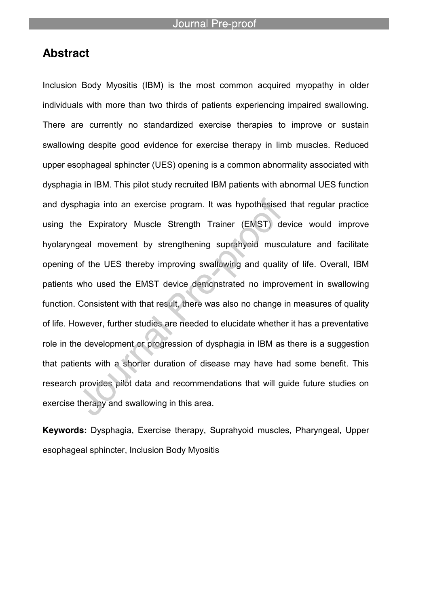# **Abstract**

Inclusion Body Myositis (IBM) is the most common acquired myopathy in older individuals with more than two thirds of patients experiencing impaired swallowing. There are currently no standardized exercise therapies to improve or sustain swallowing despite good evidence for exercise therapy in limb muscles. Reduced upper esophageal sphincter (UES) opening is a common abnormality associated with dysphagia in IBM. This pilot study recruited IBM patients with abnormal UES function and dysphagia into an exercise program. It was hypothesised that regular practice using the Expiratory Muscle Strength Trainer (EMST) device would improve hyolaryngeal movement by strengthening suprahyoid musculature and facilitate opening of the UES thereby improving swallowing and quality of life. Overall, IBM patients who used the EMST device demonstrated no improvement in swallowing function. Consistent with that result, there was also no change in measures of quality of life. However, further studies are needed to elucidate whether it has a preventative role in the development or progression of dysphagia in IBM as there is a suggestion that patients with a shorter duration of disease may have had some benefit. This research provides pilot data and recommendations that will guide future studies on exercise therapy and swallowing in this area.

**Keywords:** Dysphagia, Exercise therapy, Suprahyoid muscles, Pharyngeal, Upper esophageal sphincter, Inclusion Body Myositis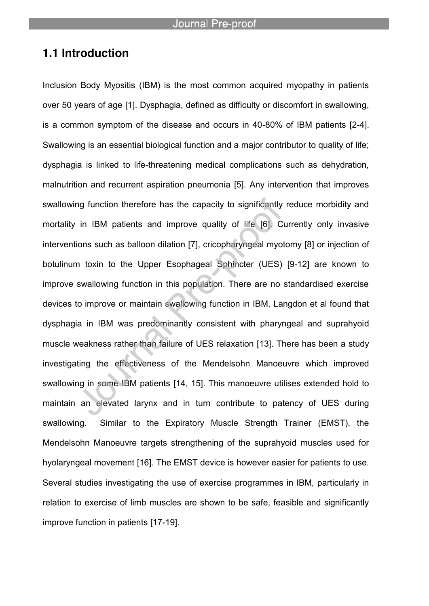# **1.1 Introduction**

Inclusion Body Myositis (IBM) is the most common acquired myopathy in patients over 50 years of age [1]. Dysphagia, defined as difficulty or discomfort in swallowing, is a common symptom of the disease and occurs in 40-80% of IBM patients [2-4]. Swallowing is an essential biological function and a major contributor to quality of life; dysphagia is linked to life-threatening medical complications such as dehydration, malnutrition and recurrent aspiration pneumonia [5]. Any intervention that improves swallowing function therefore has the capacity to significantly reduce morbidity and mortality in IBM patients and improve quality of life [6]. Currently only invasive interventions such as balloon dilation [7], cricopharyngeal myotomy [8] or injection of botulinum toxin to the Upper Esophageal Sphincter (UES) [9-12] are known to improve swallowing function in this population. There are no standardised exercise devices to improve or maintain swallowing function in IBM. Langdon et al found that dysphagia in IBM was predominantly consistent with pharyngeal and suprahyoid muscle weakness rather than failure of UES relaxation [13]. There has been a study investigating the effectiveness of the Mendelsohn Manoeuvre which improved swallowing in some IBM patients [14, 15]. This manoeuvre utilises extended hold to maintain an elevated larynx and in turn contribute to patency of UES during swallowing. Similar to the Expiratory Muscle Strength Trainer (EMST), the Mendelsohn Manoeuvre targets strengthening of the suprahyoid muscles used for hyolaryngeal movement [16]. The EMST device is however easier for patients to use. Several studies investigating the use of exercise programmes in IBM, particularly in relation to exercise of limb muscles are shown to be safe, feasible and significantly improve function in patients [17-19].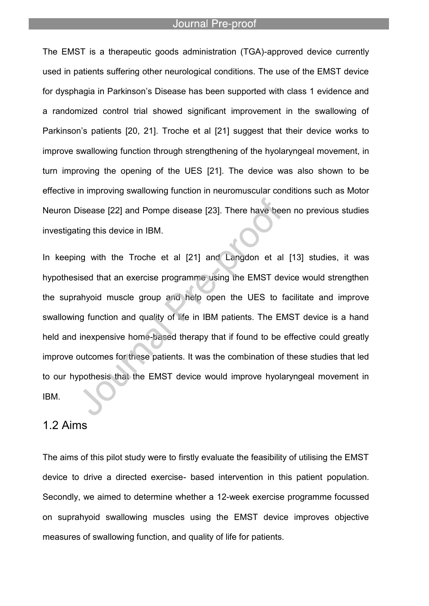The EMST is a therapeutic goods administration (TGA)-approved device currently used in patients suffering other neurological conditions. The use of the EMST device for dysphagia in Parkinson's Disease has been supported with class 1 evidence and a randomized control trial showed significant improvement in the swallowing of Parkinson's patients [20, 21]. Troche et al [21] suggest that their device works to improve swallowing function through strengthening of the hyolaryngeal movement, in turn improving the opening of the UES [21]. The device was also shown to be effective in improving swallowing function in neuromuscular conditions such as Motor Neuron Disease [22] and Pompe disease [23]. There have been no previous studies investigating this device in IBM.

In keeping with the Troche et al [21] and Langdon et al [13] studies, it was hypothesised that an exercise programme using the EMST device would strengthen the suprahyoid muscle group and help open the UES to facilitate and improve swallowing function and quality of life in IBM patients. The EMST device is a hand held and inexpensive home-based therapy that if found to be effective could greatly improve outcomes for these patients. It was the combination of these studies that led to our hypothesis that the EMST device would improve hyolaryngeal movement in IBM.

# 1.2 Aims

The aims of this pilot study were to firstly evaluate the feasibility of utilising the EMST device to drive a directed exercise- based intervention in this patient population. Secondly, we aimed to determine whether a 12-week exercise programme focussed on suprahyoid swallowing muscles using the EMST device improves objective measures of swallowing function, and quality of life for patients.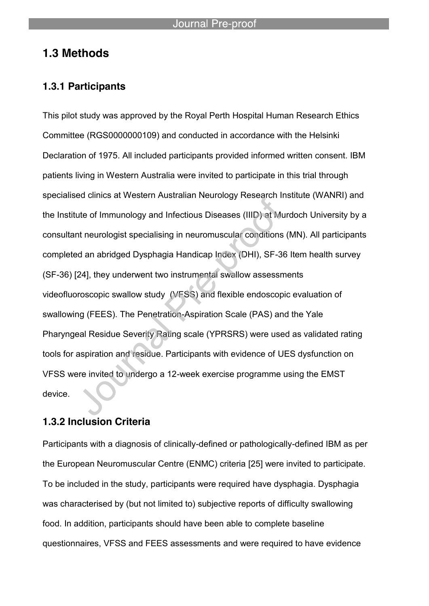# **1.3 Methods**

### **1.3.1 Participants**

This pilot study was approved by the Royal Perth Hospital Human Research Ethics Committee (RGS0000000109) and conducted in accordance with the Helsinki Declaration of 1975. All included participants provided informed written consent. IBM patients living in Western Australia were invited to participate in this trial through specialised clinics at Western Australian Neurology Research Institute (WANRI) and the Institute of Immunology and Infectious Diseases (IIID) at Murdoch University by a consultant neurologist specialising in neuromuscular conditions (MN). All participants completed an abridged Dysphagia Handicap Index (DHI), SF-36 Item health survey (SF-36) [24], they underwent two instrumental swallow assessments videofluoroscopic swallow study (VFSS) and flexible endoscopic evaluation of swallowing (FEES). The Penetration-Aspiration Scale (PAS) and the Yale Pharyngeal Residue Severity Rating scale (YPRSRS) were used as validated rating tools for aspiration and residue. Participants with evidence of UES dysfunction on VFSS were invited to undergo a 12-week exercise programme using the EMST device.

## **1.3.2 Inclusion Criteria**

Participants with a diagnosis of clinically-defined or pathologically-defined IBM as per the European Neuromuscular Centre (ENMC) criteria [25] were invited to participate. To be included in the study, participants were required have dysphagia. Dysphagia was characterised by (but not limited to) subjective reports of difficulty swallowing food. In addition, participants should have been able to complete baseline questionnaires, VFSS and FEES assessments and were required to have evidence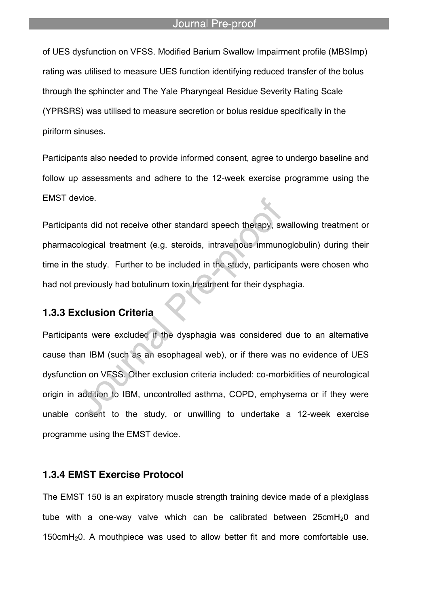of UES dysfunction on VFSS. Modified Barium Swallow Impairment profile (MBSImp) rating was utilised to measure UES function identifying reduced transfer of the bolus through the sphincter and The Yale Pharyngeal Residue Severity Rating Scale (YPRSRS) was utilised to measure secretion or bolus residue specifically in the piriform sinuses.

Participants also needed to provide informed consent, agree to undergo baseline and follow up assessments and adhere to the 12-week exercise programme using the EMST device.

Participants did not receive other standard speech therapy, swallowing treatment or pharmacological treatment (e.g. steroids, intravenous immunoglobulin) during their time in the study. Further to be included in the study, participants were chosen who had not previously had botulinum toxin treatment for their dysphagia.

# **1.3.3 Exclusion Criteria**

Participants were excluded if the dysphagia was considered due to an alternative cause than IBM (such as an esophageal web), or if there was no evidence of UES dysfunction on VFSS. Other exclusion criteria included: co-morbidities of neurological origin in addition to IBM, uncontrolled asthma, COPD, emphysema or if they were unable consent to the study, or unwilling to undertake a 12-week exercise programme using the EMST device.

#### **1.3.4 EMST Exercise Protocol**

The EMST 150 is an expiratory muscle strength training device made of a plexiglass tube with a one-way valve which can be calibrated between  $25$ cmH<sub>2</sub>0 and 150cmH20. A mouthpiece was used to allow better fit and more comfortable use.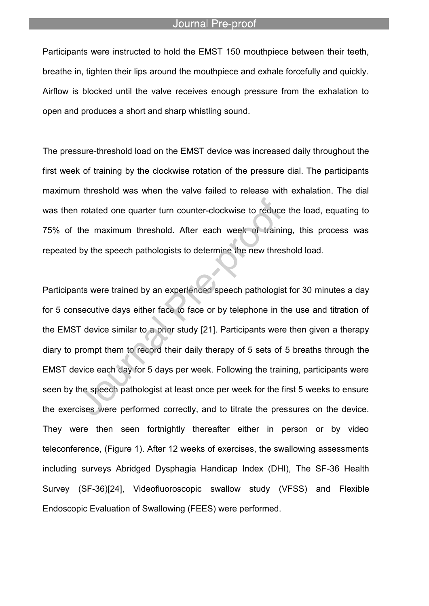Participants were instructed to hold the EMST 150 mouthpiece between their teeth, breathe in, tighten their lips around the mouthpiece and exhale forcefully and quickly. Airflow is blocked until the valve receives enough pressure from the exhalation to open and produces a short and sharp whistling sound.

The pressure-threshold load on the EMST device was increased daily throughout the first week of training by the clockwise rotation of the pressure dial. The participants maximum threshold was when the valve failed to release with exhalation. The dial was then rotated one quarter turn counter-clockwise to reduce the load, equating to 75% of the maximum threshold. After each week of training, this process was repeated by the speech pathologists to determine the new threshold load.

Participants were trained by an experienced speech pathologist for 30 minutes a day for 5 consecutive days either face to face or by telephone in the use and titration of the EMST device similar to a prior study [21]. Participants were then given a therapy diary to prompt them to record their daily therapy of 5 sets of 5 breaths through the EMST device each day for 5 days per week. Following the training, participants were seen by the speech pathologist at least once per week for the first 5 weeks to ensure the exercises were performed correctly, and to titrate the pressures on the device. They were then seen fortnightly thereafter either in person or by video teleconference, (Figure 1). After 12 weeks of exercises, the swallowing assessments including surveys Abridged Dysphagia Handicap Index (DHI), The SF-36 Health Survey (SF-36)[24], Videofluoroscopic swallow study (VFSS) and Flexible Endoscopic Evaluation of Swallowing (FEES) were performed.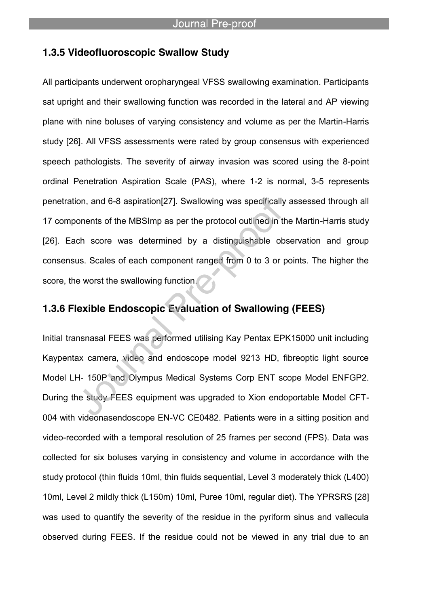### **1.3.5 Videofluoroscopic Swallow Study**

All participants underwent oropharyngeal VFSS swallowing examination. Participants sat upright and their swallowing function was recorded in the lateral and AP viewing plane with nine boluses of varying consistency and volume as per the Martin-Harris study [26]. All VFSS assessments were rated by group consensus with experienced speech pathologists. The severity of airway invasion was scored using the 8-point ordinal Penetration Aspiration Scale (PAS), where 1-2 is normal, 3-5 represents penetration, and 6-8 aspiration[27]. Swallowing was specifically assessed through all 17 components of the MBSImp as per the protocol outlined in the Martin-Harris study [26]. Each score was determined by a distinguishable observation and group consensus. Scales of each component ranged from 0 to 3 or points. The higher the score, the worst the swallowing function.

# **1.3.6 Flexible Endoscopic Evaluation of Swallowing (FEES)**

Initial transnasal FEES was performed utilising Kay Pentax EPK15000 unit including Kaypentax camera, video and endoscope model 9213 HD, fibreoptic light source Model LH- 150P and Olympus Medical Systems Corp ENT scope Model ENFGP2. During the study FEES equipment was upgraded to Xion endoportable Model CFT-004 with videonasendoscope EN-VC CE0482. Patients were in a sitting position and video-recorded with a temporal resolution of 25 frames per second (FPS). Data was collected for six boluses varying in consistency and volume in accordance with the study protocol (thin fluids 10ml, thin fluids sequential, Level 3 moderately thick (L400) 10ml, Level 2 mildly thick (L150m) 10ml, Puree 10ml, regular diet). The YPRSRS [28] was used to quantify the severity of the residue in the pyriform sinus and vallecula observed during FEES. If the residue could not be viewed in any trial due to an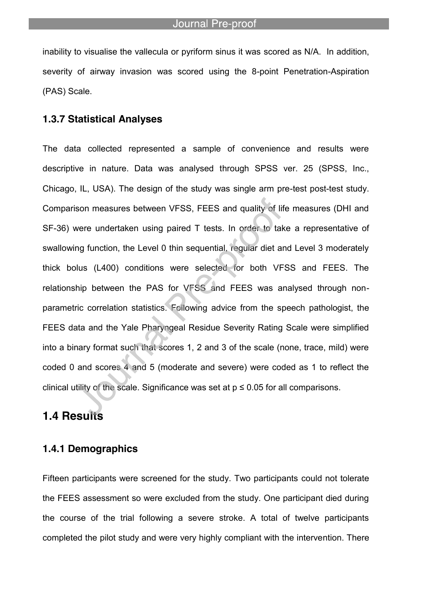inability to visualise the vallecula or pyriform sinus it was scored as N/A. In addition, severity of airway invasion was scored using the 8-point Penetration-Aspiration (PAS) Scale.

#### **1.3.7 Statistical Analyses**

The data collected represented a sample of convenience and results were descriptive in nature. Data was analysed through SPSS ver. 25 (SPSS, Inc., Chicago, IL, USA). The design of the study was single arm pre-test post-test study. Comparison measures between VFSS, FEES and quality of life measures (DHI and SF-36) were undertaken using paired T tests. In order to take a representative of swallowing function, the Level 0 thin sequential, regular diet and Level 3 moderately thick bolus (L400) conditions were selected for both VFSS and FEES. The relationship between the PAS for VFSS and FEES was analysed through nonparametric correlation statistics. Following advice from the speech pathologist, the FEES data and the Yale Pharyngeal Residue Severity Rating Scale were simplified into a binary format such that scores 1, 2 and 3 of the scale (none, trace, mild) were coded 0 and scores 4 and 5 (moderate and severe) were coded as 1 to reflect the clinical utility of the scale. Significance was set at  $p \le 0.05$  for all comparisons.

# **1.4 Results**

### **1.4.1 Demographics**

Fifteen participants were screened for the study. Two participants could not tolerate the FEES assessment so were excluded from the study. One participant died during the course of the trial following a severe stroke. A total of twelve participants completed the pilot study and were very highly compliant with the intervention. There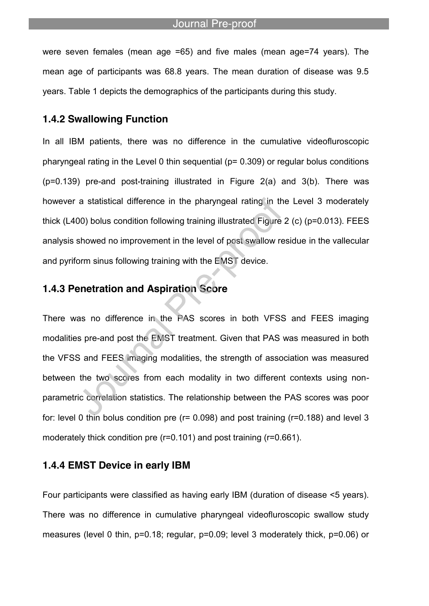were seven females (mean age =65) and five males (mean age=74 years). The mean age of participants was 68.8 years. The mean duration of disease was 9.5 years. Table 1 depicts the demographics of the participants during this study.

### **1.4.2 Swallowing Function**

In all IBM patients, there was no difference in the cumulative videofluroscopic pharyngeal rating in the Level 0 thin sequential (p= 0.309) or regular bolus conditions (p=0.139) pre-and post-training illustrated in Figure 2(a) and 3(b). There was however a statistical difference in the pharyngeal rating in the Level 3 moderately thick (L400) bolus condition following training illustrated Figure 2 (c) (p=0.013). FEES analysis showed no improvement in the level of post swallow residue in the vallecular and pyriform sinus following training with the EMST device.

## **1.4.3 Penetration and Aspiration Score**

There was no difference in the PAS scores in both VFSS and FEES imaging modalities pre-and post the EMST treatment. Given that PAS was measured in both the VFSS and FEES imaging modalities, the strength of association was measured between the two scores from each modality in two different contexts using nonparametric correlation statistics. The relationship between the PAS scores was poor for: level 0 thin bolus condition pre (r= 0.098) and post training (r=0.188) and level 3 moderately thick condition pre (r=0.101) and post training (r=0.661).

#### **1.4.4 EMST Device in early IBM**

Four participants were classified as having early IBM (duration of disease <5 years). There was no difference in cumulative pharyngeal videofluroscopic swallow study measures (level 0 thin, p=0.18; regular, p=0.09; level 3 moderately thick, p=0.06) or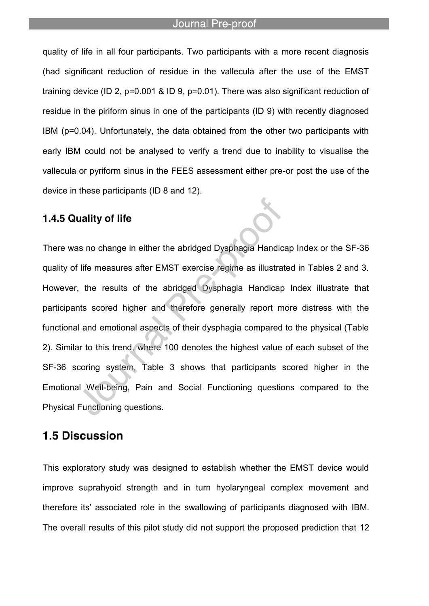quality of life in all four participants. Two participants with a more recent diagnosis (had significant reduction of residue in the vallecula after the use of the EMST training device (ID 2, p=0.001 & ID 9, p=0.01). There was also significant reduction of residue in the piriform sinus in one of the participants (ID 9) with recently diagnosed IBM (p=0.04). Unfortunately, the data obtained from the other two participants with early IBM could not be analysed to verify a trend due to inability to visualise the vallecula or pyriform sinus in the FEES assessment either pre-or post the use of the device in these participants (ID 8 and 12).

## **1.4.5 Quality of life**

There was no change in either the abridged Dysphagia Handicap Index or the SF-36 quality of life measures after EMST exercise regime as illustrated in Tables 2 and 3. However, the results of the abridged Dysphagia Handicap Index illustrate that participants scored higher and therefore generally report more distress with the functional and emotional aspects of their dysphagia compared to the physical (Table 2). Similar to this trend, where 100 denotes the highest value of each subset of the SF-36 scoring system, Table 3 shows that participants scored higher in the Emotional Well-being, Pain and Social Functioning questions compared to the Physical Functioning questions.

# **1.5 Discussion**

This exploratory study was designed to establish whether the EMST device would improve suprahyoid strength and in turn hyolaryngeal complex movement and therefore its' associated role in the swallowing of participants diagnosed with IBM. The overall results of this pilot study did not support the proposed prediction that 12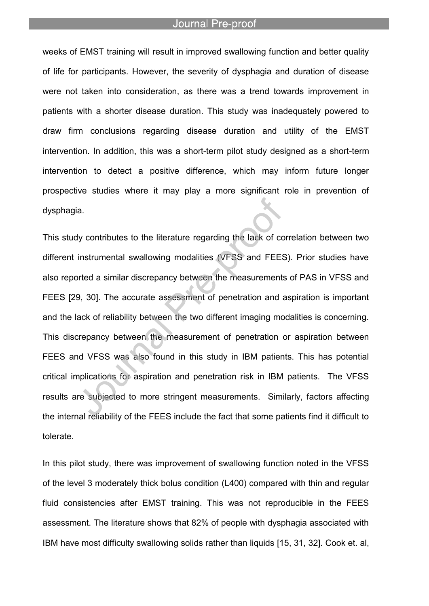weeks of EMST training will result in improved swallowing function and better quality of life for participants. However, the severity of dysphagia and duration of disease were not taken into consideration, as there was a trend towards improvement in patients with a shorter disease duration. This study was inadequately powered to draw firm conclusions regarding disease duration and utility of the EMST intervention. In addition, this was a short-term pilot study designed as a short-term intervention to detect a positive difference, which may inform future longer prospective studies where it may play a more significant role in prevention of dysphagia.

This study contributes to the literature regarding the lack of correlation between two different instrumental swallowing modalities (VFSS and FEES). Prior studies have also reported a similar discrepancy between the measurements of PAS in VFSS and FEES [29, 30]. The accurate assessment of penetration and aspiration is important and the lack of reliability between the two different imaging modalities is concerning. This discrepancy between the measurement of penetration or aspiration between FEES and VFSS was also found in this study in IBM patients. This has potential critical implications for aspiration and penetration risk in IBM patients. The VFSS results are subjected to more stringent measurements. Similarly, factors affecting the internal reliability of the FEES include the fact that some patients find it difficult to tolerate.

In this pilot study, there was improvement of swallowing function noted in the VFSS of the level 3 moderately thick bolus condition (L400) compared with thin and regular fluid consistencies after EMST training. This was not reproducible in the FEES assessment. The literature shows that 82% of people with dysphagia associated with IBM have most difficulty swallowing solids rather than liquids [15, 31, 32]. Cook et. al,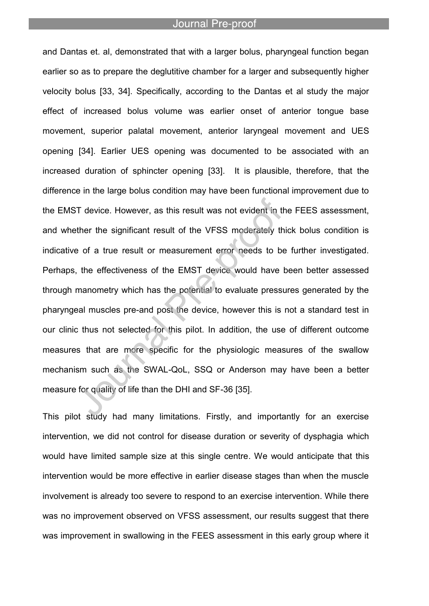and Dantas et. al, demonstrated that with a larger bolus, pharyngeal function began earlier so as to prepare the deglutitive chamber for a larger and subsequently higher velocity bolus [33, 34]. Specifically, according to the Dantas et al study the major effect of increased bolus volume was earlier onset of anterior tongue base movement, superior palatal movement, anterior laryngeal movement and UES opening [34]. Earlier UES opening was documented to be associated with an increased duration of sphincter opening [33]. It is plausible, therefore, that the difference in the large bolus condition may have been functional improvement due to the EMST device. However, as this result was not evident in the FEES assessment, and whether the significant result of the VFSS moderately thick bolus condition is indicative of a true result or measurement error needs to be further investigated. Perhaps, the effectiveness of the EMST device would have been better assessed through manometry which has the potential to evaluate pressures generated by the pharyngeal muscles pre-and post the device, however this is not a standard test in our clinic thus not selected for this pilot. In addition, the use of different outcome measures that are more specific for the physiologic measures of the swallow mechanism such as the SWAL-QoL, SSQ or Anderson may have been a better measure for quality of life than the DHI and SF-36 [35].

This pilot study had many limitations. Firstly, and importantly for an exercise intervention, we did not control for disease duration or severity of dysphagia which would have limited sample size at this single centre. We would anticipate that this intervention would be more effective in earlier disease stages than when the muscle involvement is already too severe to respond to an exercise intervention. While there was no improvement observed on VFSS assessment, our results suggest that there was improvement in swallowing in the FEES assessment in this early group where it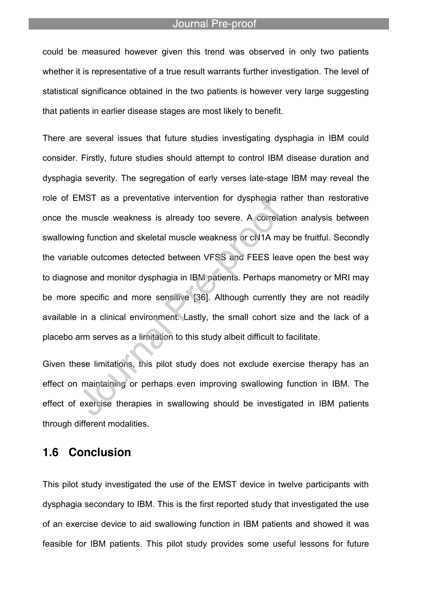could be measured however given this trend was observed in only two patients whether it is representative of a true result warrants further investigation. The level of statistical significance obtained in the two patients is however very large suggesting that patients in earlier disease stages are most likely to benefit.

There are several issues that future studies investigating dysphagia in IBM could consider. Firstly, future studies should attempt to control IBM disease duration and dysphagia severity. The segregation of early verses late-stage IBM may reveal the role of EMST as a preventative intervention for dysphagia rather than restorative once the muscle weakness is already too severe. A correlation analysis between swallowing function and skeletal muscle weakness or cN1A may be fruitful. Secondly the variable outcomes detected between VFSS and FEES leave open the best way to diagnose and monitor dysphagia in IBM patients. Perhaps manometry or MRI may be more specific and more sensitive [36]. Although currently they are not readily available in a clinical environment. Lastly, the small cohort size and the lack of a placebo arm serves as a limitation to this study albeit difficult to facilitate.

Given these limitations, this pilot study does not exclude exercise therapy has an effect on maintaining or perhaps even improving swallowing function in IBM. The effect of exercise therapies in swallowing should be investigated in IBM patients through different modalities.

## **1.6 Conclusion**

This pilot study investigated the use of the EMST device in twelve participants with dysphagia secondary to IBM. This is the first reported study that investigated the use of an exercise device to aid swallowing function in IBM patients and showed it was feasible for IBM patients. This pilot study provides some useful lessons for future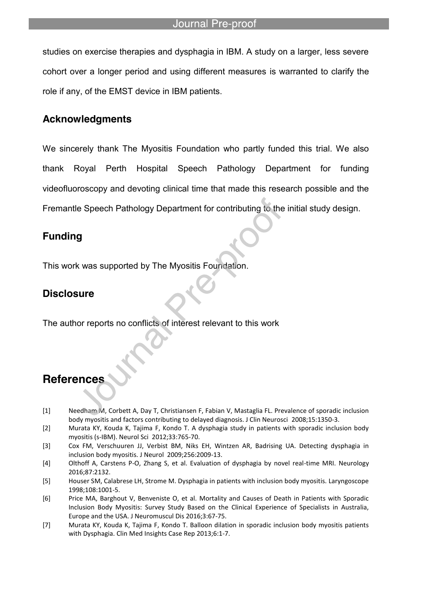studies on exercise therapies and dysphagia in IBM. A study on a larger, less severe cohort over a longer period and using different measures is warranted to clarify the role if any, of the EMST device in IBM patients.

## **Acknowledgments**

We sincerely thank The Myositis Foundation who partly funded this trial. We also thank Royal Perth Hospital Speech Pathology Department for funding videofluoroscopy and devoting clinical time that made this research possible and the Fremantle Speech Pathology Department for contributing to the initial study design.

# **Funding**

This work was supported by The Myositis Foundation.

## **Disclosure**

The author reports no conflicts of interest relevant to this work

# **References**

- [1] Needham M, Corbett A, Day T, Christiansen F, Fabian V, Mastaglia FL. Prevalence of sporadic inclusion body myositis and factors contributing to delayed diagnosis. J Clin Neurosci 2008;15:1350-3.
- [2] Murata KY, Kouda K, Tajima F, Kondo T. A dysphagia study in patients with sporadic inclusion body myositis (s-IBM). Neurol Sci 2012;33:765-70.
- [3] Cox FM, Verschuuren JJ, Verbist BM, Niks EH, Wintzen AR, Badrising UA. Detecting dysphagia in inclusion body myositis. J Neurol 2009;256:2009-13.
- [4] Olthoff A, Carstens P-O, Zhang S, et al. Evaluation of dysphagia by novel real-time MRI. Neurology 2016;87:2132.
- [5] Houser SM, Calabrese LH, Strome M. Dysphagia in patients with inclusion body myositis. Laryngoscope 1998;108:1001-5.
- [6] Price MA, Barghout V, Benveniste O, et al. Mortality and Causes of Death in Patients with Sporadic Inclusion Body Myositis: Survey Study Based on the Clinical Experience of Specialists in Australia, Europe and the USA. J Neuromuscul Dis 2016;3:67-75.
- [7] Murata KY, Kouda K, Tajima F, Kondo T. Balloon dilation in sporadic inclusion body myositis patients with Dysphagia. Clin Med Insights Case Rep 2013;6:1-7.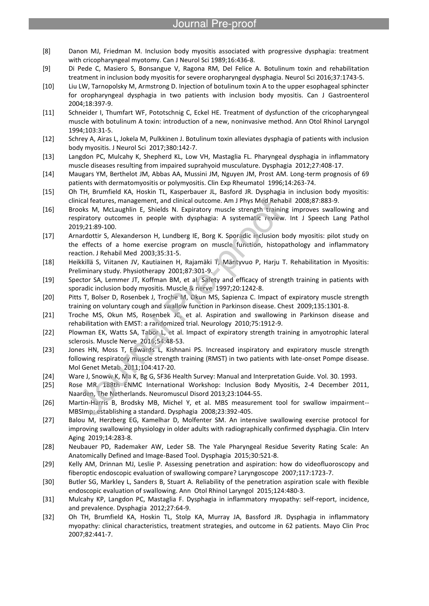[8] Danon MJ, Friedman M. Inclusion body myositis associated with progressive dysphagia: treatment with cricopharyngeal myotomy. Can J Neurol Sci 1989;16:436-8.

- [9] Di Pede C, Masiero S, Bonsangue V, Ragona RM, Del Felice A. Botulinum toxin and rehabilitation treatment in inclusion body myositis for severe oropharyngeal dysphagia. Neurol Sci 2016;37:1743-5.
- [10] Liu LW, Tarnopolsky M, Armstrong D. Injection of botulinum toxin A to the upper esophageal sphincter for oropharyngeal dysphagia in two patients with inclusion body myositis. Can J Gastroenterol 2004;18:397-9.
- [11] Schneider I, Thumfart WF, Pototschnig C, Eckel HE. Treatment of dysfunction of the cricopharyngeal muscle with botulinum A toxin: introduction of a new, noninvasive method. Ann Otol Rhinol Laryngol 1994;103:31-5.
- [12] Schrey A, Airas L, Jokela M, Pulkkinen J. Botulinum toxin alleviates dysphagia of patients with inclusion body myositis. J Neurol Sci 2017;380:142-7.
- [13] Langdon PC, Mulcahy K, Shepherd KL, Low VH, Mastaglia FL. Pharyngeal dysphagia in inflammatory muscle diseases resulting from impaired suprahyoid musculature. Dysphagia 2012;27:408-17.
- [14] Maugars YM, Berthelot JM, Abbas AA, Mussini JM, Nguyen JM, Prost AM. Long-term prognosis of 69 patients with dermatomyositis or polymyositis. Clin Exp Rheumatol 1996;14:263-74.
- [15] Oh TH, Brumfield KA, Hoskin TL, Kasperbauer JL, Basford JR. Dysphagia in inclusion body myositis: clinical features, management, and clinical outcome. Am J Phys Med Rehabil 2008;87:883-9.
- [16] Brooks M, McLaughlin E, Shields N. Expiratory muscle strength training improves swallowing and respiratory outcomes in people with dysphagia: A systematic review. Int J Speech Lang Pathol 2019;21:89-100.
- [17] Arnardottir S, Alexanderson H, Lundberg IE, Borg K. Sporadic inclusion body myositis: pilot study on the effects of a home exercise program on muscle function, histopathology and inflammatory reaction. J Rehabil Med 2003;35:31-5.
- [18] Heikkillä S, Viitanen JV, Kautiainen H, Rajamäki T, Mäntyvuo P, Harju T. Rehabilitation in Myositis: Preliminary study. Physiotherapy 2001;87:301-9.
- [19] Spector SA, Lemmer JT, Koffman BM, et al. Safety and efficacy of strength training in patients with sporadic inclusion body myositis. Muscle & nerve 1997;20:1242-8.
- [20] Pitts T, Bolser D, Rosenbek J, Troche M, Okun MS, Sapienza C. Impact of expiratory muscle strength training on voluntary cough and swallow function in Parkinson disease. Chest 2009;135:1301-8.
- [21] Troche MS, Okun MS, Rosenbek JC, et al. Aspiration and swallowing in Parkinson disease and rehabilitation with EMST: a randomized trial. Neurology 2010;75:1912-9.
- [22] Plowman EK, Watts SA, Tabor L, et al. Impact of expiratory strength training in amyotrophic lateral sclerosis. Muscle Nerve 2016;54:48-53.
- [23] Jones HN, Moss T, Edwards L, Kishnani PS. Increased inspiratory and expiratory muscle strength following respiratory muscle strength training (RMST) in two patients with late-onset Pompe disease. Mol Genet Metab 2011;104:417-20.
- [24] Ware J, Snoww K, Ma K, Bg G, SF36 Health Survey: Manual and Interpretation Guide. Vol. 30. 1993.
- [25] Rose MR. 188th ENMC International Workshop: Inclusion Body Myositis, 2-4 December 2011, Naarden, The Netherlands. Neuromuscul Disord 2013;23:1044-55.
- [26] Martin-Harris B, Brodsky MB, Michel Y, et al. MBS measurement tool for swallow impairment-- MBSImp: establishing a standard. Dysphagia 2008;23:392-405.
- [27] Balou M, Herzberg EG, Kamelhar D, Molfenter SM. An intensive swallowing exercise protocol for improving swallowing physiology in older adults with radiographically confirmed dysphagia. Clin Interv Aging 2019;14:283-8.
- [28] Neubauer PD, Rademaker AW, Leder SB. The Yale Pharyngeal Residue Severity Rating Scale: An Anatomically Defined and Image-Based Tool. Dysphagia 2015;30:521-8.
- [29] Kelly AM, Drinnan MJ, Leslie P. Assessing penetration and aspiration: how do videofluoroscopy and fiberoptic endoscopic evaluation of swallowing compare? Laryngoscope 2007;117:1723-7.
- [30] Butler SG, Markley L, Sanders B, Stuart A. Reliability of the penetration aspiration scale with flexible endoscopic evaluation of swallowing. Ann Otol Rhinol Laryngol 2015;124:480-3.
- [31] Mulcahy KP, Langdon PC, Mastaglia F. Dysphagia in inflammatory myopathy: self-report, incidence, and prevalence. Dysphagia 2012;27:64-9.
- [32] Oh TH, Brumfield KA, Hoskin TL, Stolp KA, Murray JA, Bassford JR. Dysphagia in inflammatory myopathy: clinical characteristics, treatment strategies, and outcome in 62 patients. Mayo Clin Proc 2007;82:441-7.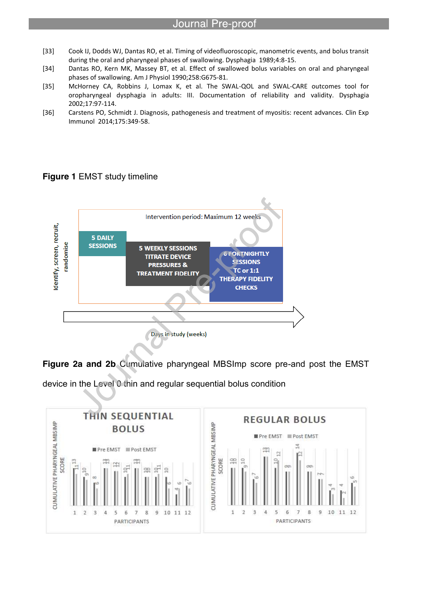[33] Cook IJ, Dodds WJ, Dantas RO, et al. Timing of videofluoroscopic, manometric events, and bolus transit during the oral and pharyngeal phases of swallowing. Dysphagia 1989;4:8-15.

- [34] Dantas RO, Kern MK, Massey BT, et al. Effect of swallowed bolus variables on oral and pharyngeal phases of swallowing. Am J Physiol 1990;258:G675-81.
- [35] McHorney CA, Robbins J, Lomax K, et al. The SWAL-QOL and SWAL-CARE outcomes tool for oropharyngeal dysphagia in adults: III. Documentation of reliability and validity. Dysphagia 2002;17:97-114.
- [36] Carstens PO, Schmidt J. Diagnosis, pathogenesis and treatment of myositis: recent advances. Clin Exp Immunol 2014;175:349-58.

#### **Figure 1** EMST study timeline



**Figure 2a and 2b** Cumulative pharyngeal MBSImp score pre-and post the EMST

device in the Level 0 thin and regular sequential bolus condition

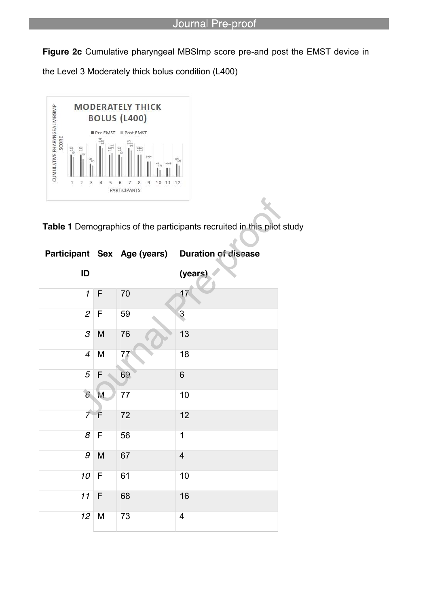$\sqrt{ }$ 

**Figure 2c** Cumulative pharyngeal MBSImp score pre-and post the EMST device in the Level 3 Moderately thick bolus condition (L400)



**Table 1** Demographics of the participants recruited in this pilot study

|                            |             | Participant Sex Age (years) | <b>Duration of disease</b> |
|----------------------------|-------------|-----------------------------|----------------------------|
| ID                         |             |                             | (years)                    |
| $\mathbf{1}$               | F           | 70                          | 17                         |
| $\overline{c}$             | F           | 59                          | 3                          |
| $\ensuremath{\mathcal{S}}$ | M           | 76                          | 13                         |
| $\overline{\mathcal{A}}$   | M           | 77                          | 18                         |
| 5                          | $\mathsf F$ | 69                          | 6                          |
| 6 <sup>1</sup>             | M           | 77                          | 10                         |
| $\overline{z}$             | F           | 72                          | 12                         |
| $\overline{\mathcal{E}}$   | $\mathsf F$ | 56                          | 1                          |
| $\overline{g}$             | M           | 67                          | $\overline{4}$             |
| 10                         | $\mathsf F$ | 61                          | 10                         |
| 11                         | $\mathsf F$ | 68                          | 16                         |
| 12                         | M           | 73                          | $\overline{\mathbf{4}}$    |